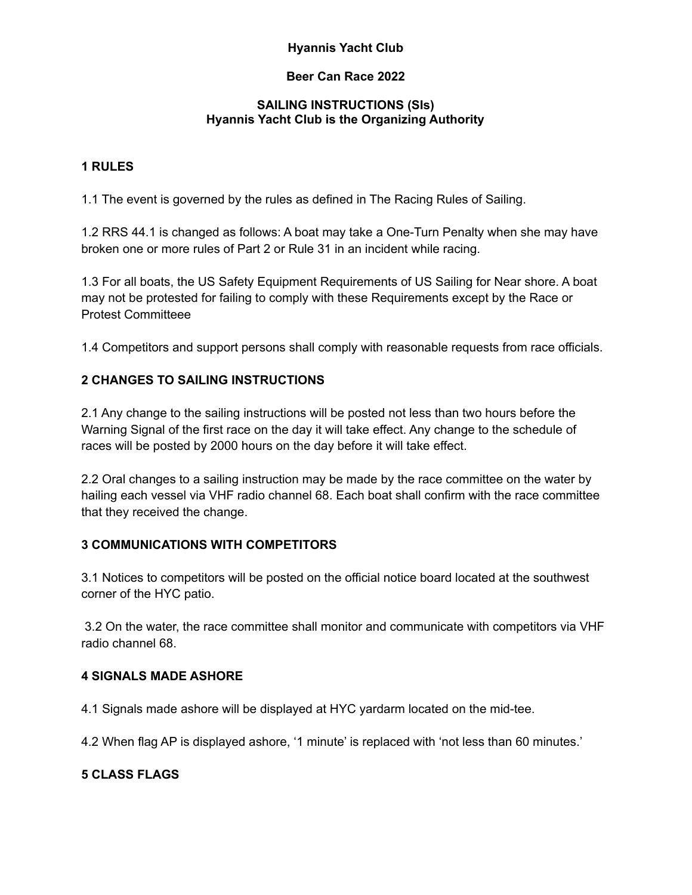### **Beer Can Race 2022**

### **SAILING INSTRUCTIONS (SIs) Hyannis Yacht Club is the Organizing Authority**

### **1 RULES**

1.1 The event is governed by the rules as defined in The Racing Rules of Sailing.

1.2 RRS 44.1 is changed as follows: A boat may take a One-Turn Penalty when she may have broken one or more rules of Part 2 or Rule 31 in an incident while racing.

1.3 For all boats, the US Safety Equipment Requirements of US Sailing for Near shore. A boat may not be protested for failing to comply with these Requirements except by the Race or Protest Committeee

1.4 Competitors and support persons shall comply with reasonable requests from race officials.

### **2 CHANGES TO SAILING INSTRUCTIONS**

2.1 Any change to the sailing instructions will be posted not less than two hours before the Warning Signal of the first race on the day it will take effect. Any change to the schedule of races will be posted by 2000 hours on the day before it will take effect.

2.2 Oral changes to a sailing instruction may be made by the race committee on the water by hailing each vessel via VHF radio channel 68. Each boat shall confirm with the race committee that they received the change.

### **3 COMMUNICATIONS WITH COMPETITORS**

3.1 Notices to competitors will be posted on the official notice board located at the southwest corner of the HYC patio.

3.2 On the water, the race committee shall monitor and communicate with competitors via VHF radio channel 68.

### **4 SIGNALS MADE ASHORE**

4.1 Signals made ashore will be displayed at HYC yardarm located on the mid-tee.

4.2 When flag AP is displayed ashore, '1 minute' is replaced with 'not less than 60 minutes.'

# **5 CLASS FLAGS**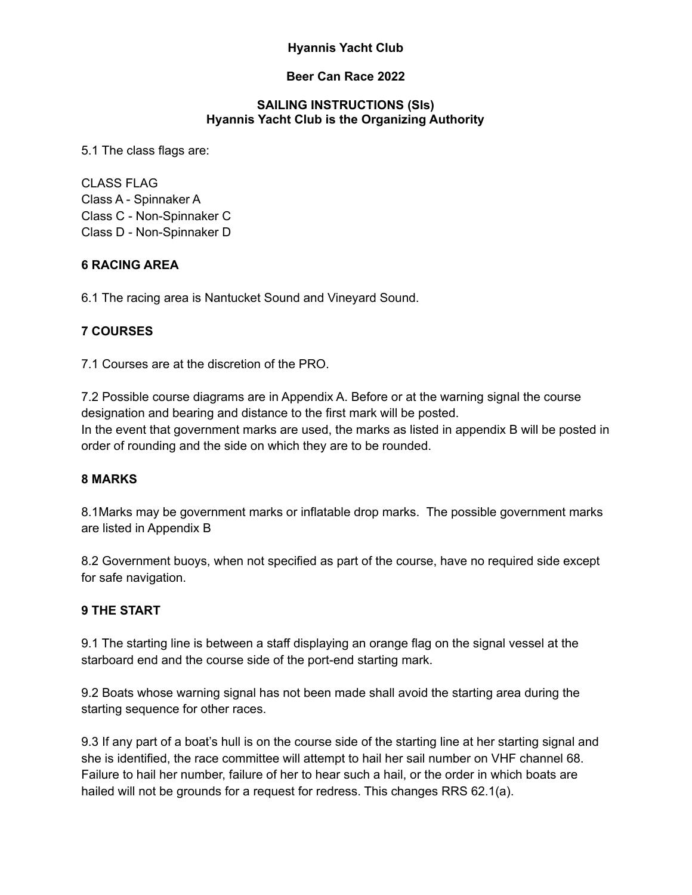#### **Beer Can Race 2022**

#### **SAILING INSTRUCTIONS (SIs) Hyannis Yacht Club is the Organizing Authority**

5.1 The class flags are:

CLASS FLAG Class A - Spinnaker A Class C - Non-Spinnaker C Class D - Non-Spinnaker D

### **6 RACING AREA**

6.1 The racing area is Nantucket Sound and Vineyard Sound.

#### **7 COURSES**

7.1 Courses are at the discretion of the PRO.

7.2 Possible course diagrams are in Appendix A. Before or at the warning signal the course designation and bearing and distance to the first mark will be posted. In the event that government marks are used, the marks as listed in appendix B will be posted in order of rounding and the side on which they are to be rounded.

### **8 MARKS**

8.1Marks may be government marks or inflatable drop marks. The possible government marks are listed in Appendix B

8.2 Government buoys, when not specified as part of the course, have no required side except for safe navigation.

#### **9 THE START**

9.1 The starting line is between a staff displaying an orange flag on the signal vessel at the starboard end and the course side of the port-end starting mark.

9.2 Boats whose warning signal has not been made shall avoid the starting area during the starting sequence for other races.

9.3 If any part of a boat's hull is on the course side of the starting line at her starting signal and she is identified, the race committee will attempt to hail her sail number on VHF channel 68. Failure to hail her number, failure of her to hear such a hail, or the order in which boats are hailed will not be grounds for a request for redress. This changes RRS 62.1(a).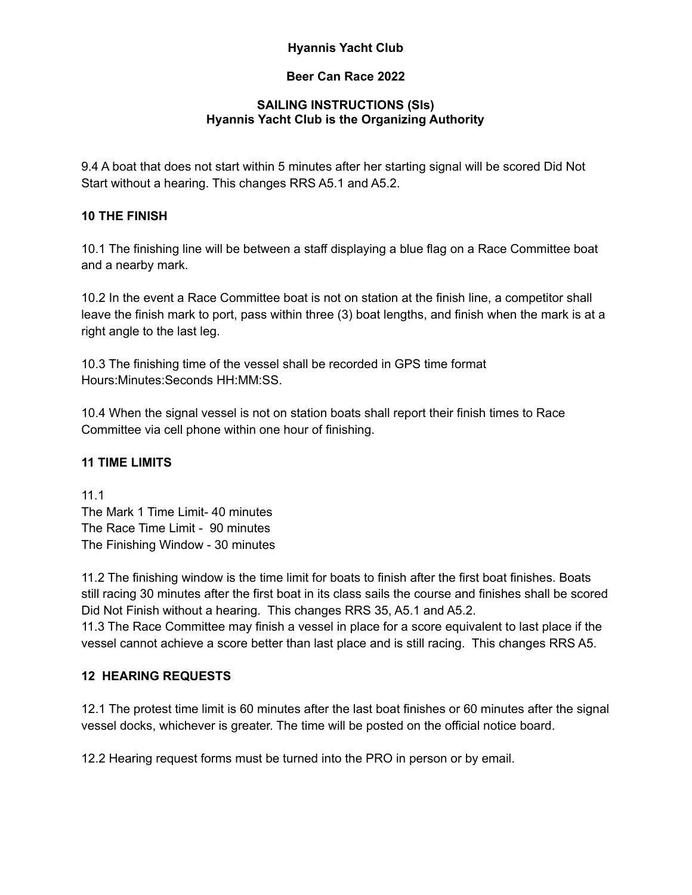### **Beer Can Race 2022**

### **SAILING INSTRUCTIONS (SIs) Hyannis Yacht Club is the Organizing Authority**

9.4 A boat that does not start within 5 minutes after her starting signal will be scored Did Not Start without a hearing. This changes RRS A5.1 and A5.2.

# **10 THE FINISH**

10.1 The finishing line will be between a staff displaying a blue flag on a Race Committee boat and a nearby mark.

10.2 In the event a Race Committee boat is not on station at the finish line, a competitor shall leave the finish mark to port, pass within three (3) boat lengths, and finish when the mark is at a right angle to the last leg.

10.3 The finishing time of the vessel shall be recorded in GPS time format Hours:Minutes:Seconds HH:MM:SS.

10.4 When the signal vessel is not on station boats shall report their finish times to Race Committee via cell phone within one hour of finishing.

# **11 TIME LIMITS**

11.1 The Mark 1 Time Limit- 40 minutes The Race Time Limit - 90 minutes The Finishing Window - 30 minutes

11.2 The finishing window is the time limit for boats to finish after the first boat finishes. Boats still racing 30 minutes after the first boat in its class sails the course and finishes shall be scored Did Not Finish without a hearing. This changes RRS 35, A5.1 and A5.2. 11.3 The Race Committee may finish a vessel in place for a score equivalent to last place if the vessel cannot achieve a score better than last place and is still racing. This changes RRS A5.

# **12 HEARING REQUESTS**

12.1 The protest time limit is 60 minutes after the last boat finishes or 60 minutes after the signal vessel docks, whichever is greater. The time will be posted on the official notice board.

12.2 Hearing request forms must be turned into the PRO in person or by email.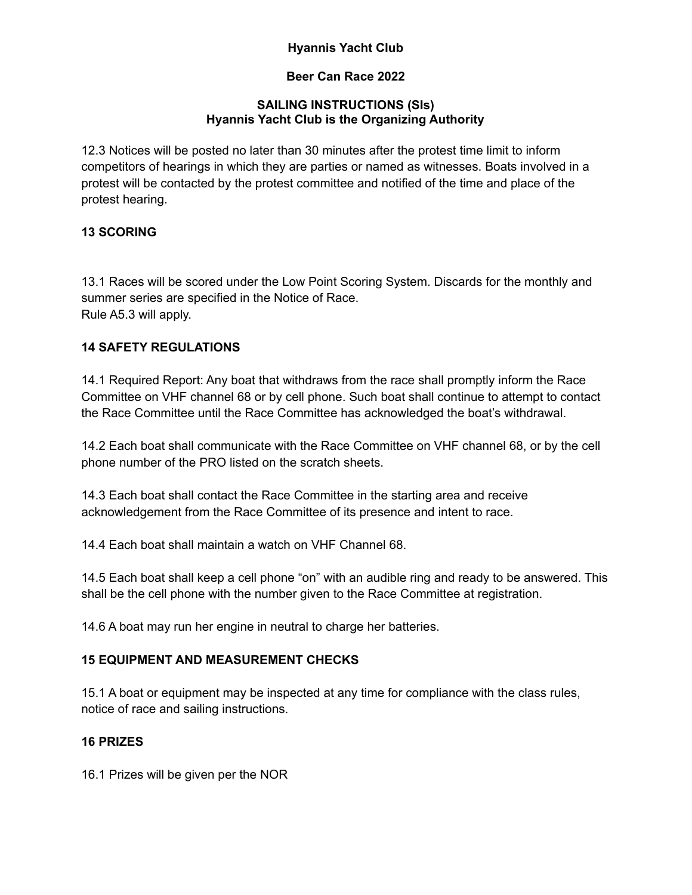### **Beer Can Race 2022**

### **SAILING INSTRUCTIONS (SIs) Hyannis Yacht Club is the Organizing Authority**

12.3 Notices will be posted no later than 30 minutes after the protest time limit to inform competitors of hearings in which they are parties or named as witnesses. Boats involved in a protest will be contacted by the protest committee and notified of the time and place of the protest hearing.

# **13 SCORING**

13.1 Races will be scored under the Low Point Scoring System. Discards for the monthly and summer series are specified in the Notice of Race. Rule A5.3 will apply.

# **14 SAFETY REGULATIONS**

14.1 Required Report: Any boat that withdraws from the race shall promptly inform the Race Committee on VHF channel 68 or by cell phone. Such boat shall continue to attempt to contact the Race Committee until the Race Committee has acknowledged the boat's withdrawal.

14.2 Each boat shall communicate with the Race Committee on VHF channel 68, or by the cell phone number of the PRO listed on the scratch sheets.

14.3 Each boat shall contact the Race Committee in the starting area and receive acknowledgement from the Race Committee of its presence and intent to race.

14.4 Each boat shall maintain a watch on VHF Channel 68.

14.5 Each boat shall keep a cell phone "on" with an audible ring and ready to be answered. This shall be the cell phone with the number given to the Race Committee at registration.

14.6 A boat may run her engine in neutral to charge her batteries.

# **15 EQUIPMENT AND MEASUREMENT CHECKS**

15.1 A boat or equipment may be inspected at any time for compliance with the class rules, notice of race and sailing instructions.

# **16 PRIZES**

16.1 Prizes will be given per the NOR